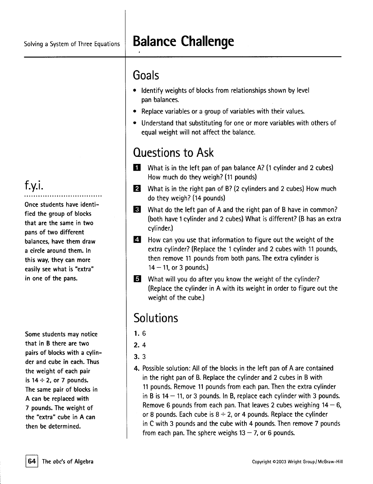# Solving <sup>a</sup> System of Three Equations **Balance Challenge**

## **Goals**

- . Identify weights of blocks from relationships shown by level pan balances.
- . Replace variables or <sup>a</sup> group of variables with their values.
- . Understand that substituting for one or more variables with others of equal weight will not affect the balance.

# Questions to Ask

- **1** What is in the left pan of pan balance  $A$ ? (1 cylinder and 2 cubes) How much do they weigh? (11 pounds)
- $\overline{2}$  What is in the right pan of B? (2 cylinders and 2 cubes) How much do they weigh? (14 pounds)
- **B** What do the left pan of A and the right pan of B have in common? (both have 1 cylinder and 2 cubes) What is different? (B has an extra cylinder.)
- $\overline{A}$  How can you use that information to figure out the weight of the extra cylinder? (Replace the 1 cylinder and 2 cubes with 11 pounds, then remove 11 pounds from both pans. The extra cylinder is  $14 - 11$ , or 3 pounds.)
- **5** What will you do after you know the weight of the cylinder? (Replace the cylinder in A with its weight in order to figure out the weight of the cube.)

### **Solutions**

- 1. 6
- 2. 4
- 3.3
- 4. Possible solution: All of the blocks in the left pan of <sup>A</sup> are contained in the right pan of B. Replace the cylinder and 2 cubes in B with 11 pounds. Remove 11 pounds from each pan. Then the extra cylinder in B is  $14 - 11$ , or 3 pounds. In B, replace each cylinder with 3 pounds. Remove 6 pounds from each pan. That leaves 2 cubes weighing  $14 - 6$ , or 8 pounds. Each cube is  $8 \div 2$ , or 4 pounds. Replace the cylinder in C with 3 pounds and the cube with 4 pounds. Then remove 7 pounds from each pan. The sphere weighs  $13 - 7$ , or 6 pounds.

#### f.y.i. ..................................

Once students have identified the group of blocks that are the same in two pans of two different balances. have them draw a circle around them. In this way. they can more easily see what is "extra" in one of the pans.

Some students may notice that in B there are two pairs of blocks with a cylinder and cube in each. Thus the weight of each pair is  $14 \div 2$ , or 7 pounds. The same pair of blocks in A can be replaced with 7 pounds. The weight of the "extra" cube in A can then be determined.